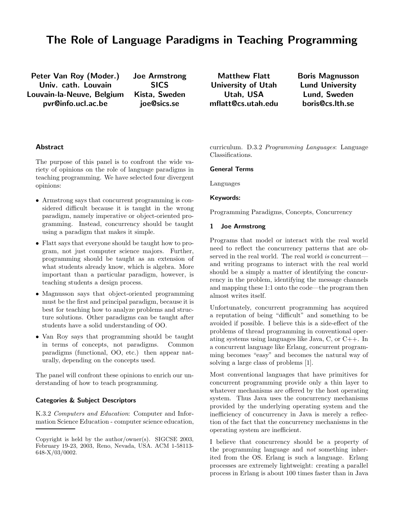# **The Role of Language Paradigms in Teaching Programming**

**Peter Van Roy (Moder.) Univ. cath. Louvain Louvain-la-Neuve, Belgium pvr@info.ucl.ac.be**

**Joe Armstrong SICS Kista, Sweden joe@sics.se**

**Matthew Flatt University of Utah Utah, USA mflatt@cs.utah.edu** **Boris Magnusson Lund University Lund, Sweden boris@cs.lth.se**

# **Abstract**

The purpose of this panel is to confront the wide variety of opinions on the role of language paradigms in teaching programming. We have selected four divergent opinions:

- Armstrong says that concurrent programming is considered difficult because it is taught in the wrong paradigm, namely imperative or object-oriented programming. Instead, concurrency should be taught using a paradigm that makes it simple.
- Flatt says that everyone should be taught how to program, not just computer science majors. Further, programming should be taught as an extension of what students already know, which is algebra. More important than a particular paradigm, however, is teaching students a design process.
- Magnusson says that object-oriented programming must be the first and principal paradigm, because it is best for teaching how to analyze problems and structure solutions. Other paradigms can be taught after students have a solid understanding of OO.
- Van Roy says that programming should be taught<br>in terms of concepts, not paradigms. Common in terms of concepts, not paradigms. paradigms (functional, OO, etc.) then appear naturally, depending on the concepts used.

The panel will confront these opinions to enrich our understanding of how to teach programming.

### **Categories & Subject Descriptors**

K.3.2 *Computers and Education*: Computer and Information Science Education - computer science education, curriculum. D.3.2 *Programming Languages*: Language Classifications.

## **General Terms**

Languages

#### **Keywords:**

Programming Paradigms, Concepts, Concurrency

#### **1 Joe Armstrong**

Programs that model or interact with the real world need to reflect the concurrency patterns that are observed in the real world. The real world *is* concurrent and writing programs to interact with the real world should be a simply a matter of identifying the concurrency in the problem, identifying the message channels and mapping these 1:1 onto the code—the program then almost writes itself.

Unfortunately, concurrent programming has acquired a reputation of being "difficult" and something to be avoided if possible. I believe this is a side-effect of the problems of thread programming in conventional operating systems using languages like Java, C, or C++. In a concurrent language like Erlang, concurrent programming becomes "easy" and becomes the natural way of solving a large class of problems [1].

Most conventional languages that have primitives for concurrent programming provide only a thin layer to whatever mechanisms are offered by the host operating system. Thus Java uses the concurrency mechanisms provided by the underlying operating system and the inefficiency of concurrency in Java is merely a reflection of the fact that the concurrency mechanisms in the operating system are inefficient.

I believe that concurrency should be a property of the programming language and *not* something inherited from the OS. Erlang is such a language. Erlang processes are extremely lightweight: creating a parallel process in Erlang is about 100 times faster than in Java

Copyright is held by the author/owner(s). SIGCSE 2003, February 19-23, 2003, Reno, Nevada, USA. ACM 1-58113- 648-X/03/0002.